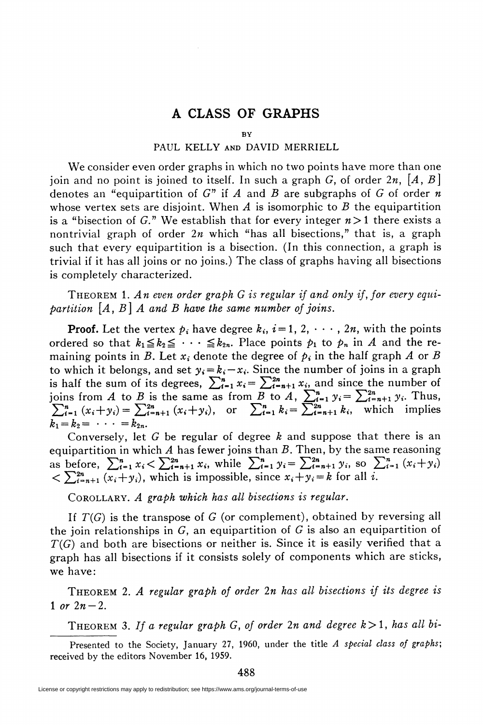## A CLASS OF GRAPHS

## **BY**

## PAUL KELLY and DAVID MERRIELL

We consider even order graphs in which no two points have more than one join and no point is joined to itself. In such a graph G, of order 2n,  $[A, B]$ denotes an "equipartition of G" if A and B are subgraphs of G of order n whose vertex sets are disjoint. When A is isomorphic to B the equipartition is a "bisection of G." We establish that for every integer  $n>1$  there exists a nontrivial graph of order  $2n$  which "has all bisections," that is, a graph such that every equipartition is a bisection. (In this connection, a graph is trivial if it has all joins or no joins.) The class of graphs having all bisections is completely characterized.

THEOREM 1. An even order graph G is regular if and only if, for every equipartition  $|A, B|$  A and B have the same number of joins.

**Proof.** Let the vertex  $p_i$  have degree  $k_i$ ,  $i=1, 2, \dots, 2n$ , with the points ordered so that  $k_1 \leq k_2 \leq \cdots \leq k_{2n}$ . Place points  $p_1$  to  $p_n$  in A and the remaining points in B. Let  $x_i$  denote the degree of  $p_i$  in the half graph A or B to which it belongs, and set  $y_i = k_i - x_i$ . Since the number of joins in a graph is half the sum of its degrees,  $\sum_{i=1}^{n} x_i = \sum_{i=n+1}^{2n} x_i$  and since the number of joins from A to B is the same as from B to A,  $\sum_{i=1}^{n} y_i = \sum_{i=n+1}^{2n} y_i$ . Thus,  $\sum_{i=1}^{n} (x_i + y_i) = \sum_{i=n+1}^{2n} (x_i + y_i)$ , or  $\sum_{i=1}^{n} k_i = \sum_{i=n+1}^{2n} k_i$ , which implies  $k_1 = k_2 = \cdots = k_{2n}$ .

Conversely, let  $G$  be regular of degree  $k$  and suppose that there is an equipartition in which  $A$  has fewer joins than  $B$ . Then, by the same reasoning as before,  $\sum_{i=1}^{n} x_i < \sum_{i=n+1}^{2n} x_i$ , while  $\sum_{i=1}^{n} y_i = \sum_{i=n+1}^{2n} y_i$ , so  $\sum_{i=1}^{n} (x_i + y_i)$  $\langle \sum_{i=n+1}^{2n} (x_i+y_i)$ , which is impossible, since  $x_i+y_i=k$  for all i.

COROLLARY. A graph which has all bisections is regular.

If  $T(G)$  is the transpose of G (or complement), obtained by reversing all the join relationships in G, an equipartition of G is also an equipartition of  $T(G)$  and both are bisections or neither is. Since it is easily verified that a graph has all bisections if it consists solely of components which are sticks, we have:

Theorem 2. A regular graph of order 2n has all bisections if its degree is 1 or  $2n-2$ .

THEOREM 3. If a regular graph G, of order 2n and degree  $k>1$ , has all bi-

488

Presented to the Society, January 27, 1960, under the title A special class of graphs; received by the editors November 16, 1959.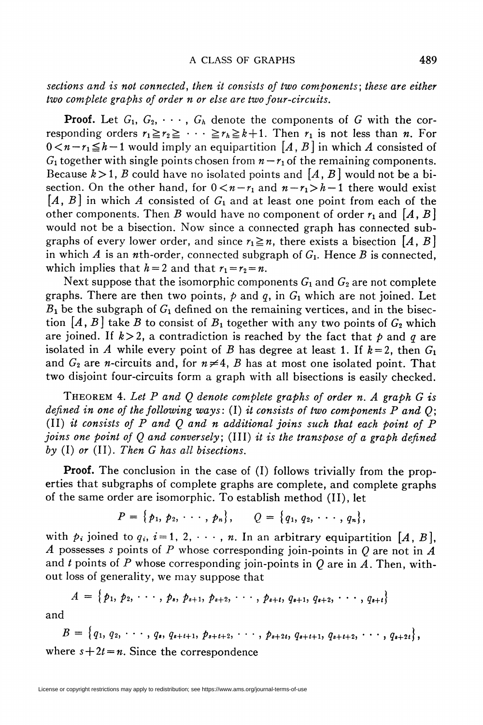sections and is not connected, then it consists of two components; these are either two complete graphs of order n or else are two four-circuits.

**Proof.** Let  $G_1, G_2, \cdots, G_k$  denote the components of G with the corresponding orders  $r_1 \ge r_2 \ge \cdots \ge r_h \ge k+1$ . Then  $r_1$  is not less than *n*. For  $0 \lt n - r_1 \le h-1$  would imply an equipartition  $[A, B]$  in which A consisted of  $G_1$  together with single points chosen from  $n-r_1$  of the remaining components. Because  $k>1$ , B could have no isolated points and  $[A, B]$  would not be a bisection. On the other hand, for  $0 \lt n-r_1$  and  $n-r_1 > h-1$  there would exist  $[A, B]$  in which A consisted of  $G_1$  and at least one point from each of the other components. Then B would have no component of order  $r_1$  and  $[A, B]$ would not be a bisection. Now since a connected graph has connected subgraphs of every lower order, and since  $r_1 \geq n$ , there exists a bisection [A, B] in which A is an *n*th-order, connected subgraph of  $G<sub>1</sub>$ . Hence B is connected, which implies that  $h = 2$  and that  $r_1 = r_2 = n$ .

Next suppose that the isomorphic components  $G_1$  and  $G_2$  are not complete graphs. There are then two points,  $p$  and q, in  $G_1$  which are not joined. Let  $B_1$  be the subgraph of  $G_1$  defined on the remaining vertices, and in the bisection  $[A, B]$  take B to consist of  $B_1$  together with any two points of  $G_2$  which are joined. If  $k>2$ , a contradiction is reached by the fact that  $p$  and q are isolated in A while every point of B has degree at least 1. If  $k=2$ , then  $G_1$ and  $G_2$  are *n*-circuits and, for  $n \neq 4$ , B has at most one isolated point. That two disjoint four-circuits form a graph with all bisections is easily checked.

THEOREM 4. Let P and Q denote complete graphs of order n. A graph  $G$  is defined in one of the following ways: (I) it consists of two components P and  $O$ ; (II) it consists of  $P$  and  $Q$  and  $n$  additional joins such that each point of  $P$ joins one point of  $Q$  and conversely; (III) it is the transpose of a graph defined by  $(I)$  or  $(II)$ . Then  $G$  has all bisections.

Proof. The conclusion in the case of (I) follows trivially from the properties that subgraphs of complete graphs are complete, and complete graphs of the same order are isomorphic. To establish method (II), let

$$
P = \{p_1, p_2, \cdots, p_n\}, \qquad Q = \{q_1, q_2, \cdots, q_n\},\
$$

with  $p_i$  joined to  $q_i$ ,  $i = 1, 2, \dots, n$ . In an arbitrary equipartition [A, B], A possesses s points of P whose corresponding join-points in  $Q$  are not in  $A$ and  $t$  points of  $P$  whose corresponding join-points in  $Q$  are in  $A$ . Then, without loss of generality, we may suppose that

$$
A = \{p_1, p_2, \cdots, p_s, p_{s+1}, p_{s+2}, \cdots, p_{s+t}, q_{s+1}, q_{s+2}, \cdots, q_{s+t}\}\
$$

and

 $B = \{q_1, q_2, \cdots, q_s, q_{s+t+1}, p_{s+t+2}, \cdots, p_{s+2t}, q_{s+t+1}, q_{s+t+2}, \cdots, q_{s+2t}\},\$ where  $s+2t = n$ . Since the correspondence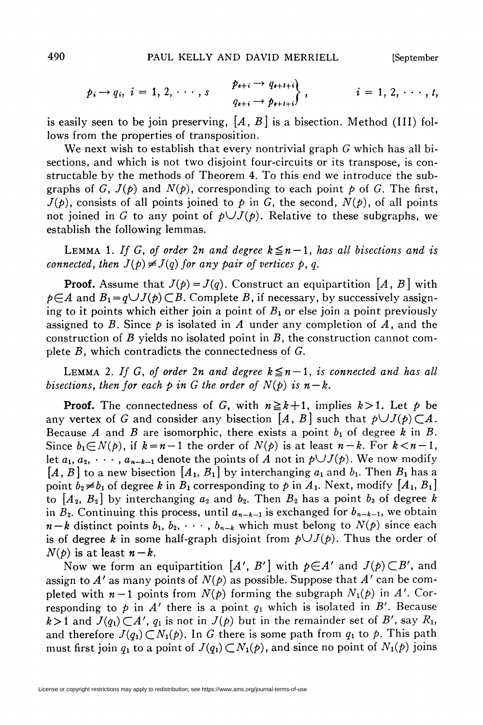$$
p_i \rightarrow q_i, \quad i = 1, 2, \cdots, s
$$
\n
$$
\begin{array}{c}\np_{s+i} \rightarrow q_{s+t+i} \\
q_{s+i} \rightarrow p_{s+t+i}\n\end{array}, \quad i = 1, 2, \cdots, t,
$$

is easily seen to be join preserving,  $[A, B]$  is a bisection. Method (III) follows from the properties of transposition.

We next wish to establish that every nontrivial graph  $G$  which has all bisections, and which is not two disjoint four-circuits or its transpose, is constructable by the methods of Theorem 4. To this end we introduce the subgraphs of G,  $J(p)$  and  $N(p)$ , corresponding to each point p of G. The first,  $J(\phi)$ , consists of all points joined to  $\phi$  in G, the second,  $N(\phi)$ , of all points not joined in G to any point of  $p\bigcup J(p)$ . Relative to these subgraphs, we establish the following lemmas.

LEMMA 1. If G, of order 2n and degree  $k \leq n-1$ , has all bisections and is connected, then  $J(p) \neq J(q)$  for any pair of vertices p, q.

**Proof.** Assume that  $J(p) = J(q)$ . Construct an equipartition [A, B] with  $p\in A$  and  $B_1 = q\cup J(p) \subset B$ . Complete B, if necessary, by successively assigning to it points which either join a point of  $B_1$  or else join a point previously assigned to B. Since  $\dot{p}$  is isolated in A under any completion of A, and the construction of B yields no isolated point in  $B$ , the construction cannot complete  $B$ , which contradicts the connectedness of  $G$ .

LEMMA 2. If G, of order 2n and degree  $k \leq n-1$ , is connected and has all bisections, then for each p in G the order of  $N(p)$  is  $n-k$ .

**Proof.** The connectedness of G, with  $n \ge k+1$ , implies  $k>1$ . Let p be any vertex of G and consider any bisection [A, B] such that  $p\cup J(p)\subset A$ . Because A and B are isomorphic, there exists a point  $b_1$  of degree k in B. Since  $b_1 \in N(p)$ , if  $k = n - 1$  the order of  $N(p)$  is at least  $n - k$ . For  $k < n - 1$ , let  $a_1, a_2, \dots, a_{n-k-1}$  denote the points of A not in  $p\cup J(p)$ . We now modify  $[A, B]$  to a new bisection  $[A_1, B_1]$  by interchanging  $a_1$  and  $b_1$ . Then  $B_1$  has a point  $b_2 \neq b_1$  of degree k in  $B_1$  corresponding to p in  $A_1$ . Next, modify  $[A_1, B_1]$ to  $[A_2, B_2]$  by interchanging  $a_2$  and  $b_2$ . Then  $B_2$  has a point  $b_3$  of degree k in  $B_2$ . Continuing this process, until  $a_{n-k-1}$  is exchanged for  $b_{n-k-1}$ , we obtain  $n-k$  distinct points  $b_1, b_2, \cdots, b_{n-k}$  which must belong to  $N(p)$  since each is of degree k in some half-graph disjoint from  $p\bigcup J(p)$ . Thus the order of  $N(p)$  is at least  $n-k$ .

Now we form an equipartition  $[A', B']$  with  $p \in A'$  and  $J(p) \subset B'$ , and assign to A' as many points of  $N(\phi)$  as possible. Suppose that A' can be completed with  $n-1$  points from  $N(\phi)$  forming the subgraph  $N_1(\phi)$  in A'. Corresponding to  $p$  in A' there is a point  $q_1$  which is isolated in B'. Because  $k>1$  and  $J(q_1) \subset A'$ ,  $q_1$  is not in  $J(p)$  but in the remainder set of B', say  $R_1$ , and therefore  $J(q_1) \subset N_1(p)$ . In G there is some path from  $q_1$  to p. This path must first join  $q_1$  to a point of  $J(q_1) \subset N_1(\rho)$ , and since no point of  $N_1(\rho)$  joins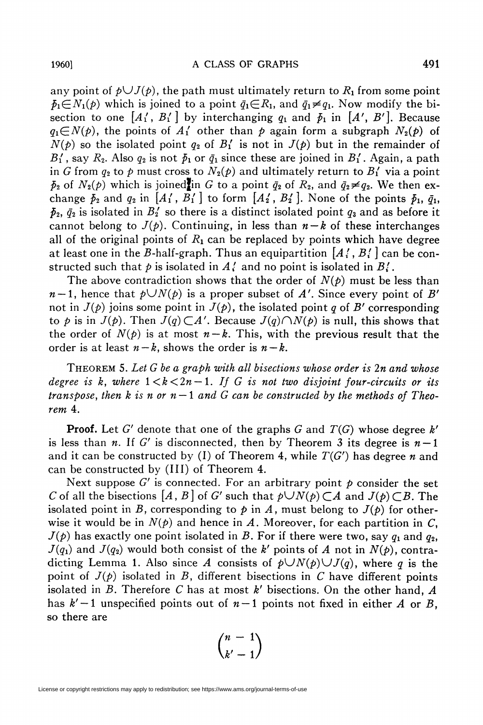any point of  $p\bigcup J(p)$ , the path must ultimately return to  $R_1$  from some point  $\bar{p}_1 \in N_1(\rho)$  which is joined to a point  $\bar{q}_1 \in \mathbb{R}_1$ , and  $\bar{q}_1 \neq q_1$ . Now modify the bisection to one  $[A'_1, B'_1]$  by interchanging  $q_1$  and  $\bar{p}_1$  in  $[A', B']$ . Because  $q_1 \in N(p)$ , the points of  $A'_1$  other than p again form a subgraph  $N_2(p)$  of  $N(\rho)$  so the isolated point  $q_2$  of  $B'_1$  is not in  $J(\rho)$  but in the remainder of  $B'$ , say  $R_2$ . Also  $q_2$  is not  $\bar{p}_1$  or  $\bar{q}_1$  since these are joined in  $B'_1$ . Again, a path

in G from  $q_2$  to p must cross to  $N_2(p)$  and ultimately return to  $B'_1$  via a point  $\bar{p}_2$  of  $N_2(\rho)$  which is joined in G to a point  $\bar{q}_2$  of  $R_2$ , and  $\bar{q}_2\neq q_2$ . We then exchange  $\bar{p}_2$  and  $q_2$  in  $[A'_1, \bar{B}'_1]$  to form  $[A'_2, B'_2]$ . None of the points  $\bar{p}_1$ ,  $\bar{q}_1$ ,  $\bar{p}_2$ ,  $\bar{q}_2$  is isolated in  $B_2$  so there is a distinct isolated point  $q_3$  and as before it cannot belong to  $J(p)$ . Continuing, in less than  $n-k$  of these interchanges all of the original points of  $R_1$  can be replaced by points which have degree at least one in the B-half-graph. Thus an equipartition  $[A', B']$  can be constructed such that  $p$  is isolated in  $A'_i$  and no point is isolated in  $B'_i$ .

The above contradiction shows that the order of  $N(\phi)$  must be less than  $n-1$ , hence that  $p\bigcup N(p)$  is a proper subset of A'. Since every point of B' not in  $J(\phi)$  joins some point in  $J(\phi)$ , the isolated point q of B' corresponding to p is in  $J(p)$ . Then  $J(q) \subset A'$ . Because  $J(q) \cap N(p)$  is null, this shows that the order of  $N(\rho)$  is at most  $n-k$ . This, with the previous result that the order is at least  $n-k$ , shows the order is  $n-k$ .

THEOREM 5. Let G be a graph with all bisections whose order is  $2n$  and whose degree is k, where  $1 < k < 2n - 1$ . If G is not two disjoint four-circuits or its transpose, then k is n or  $n-1$  and G can be constructed by the methods of Theorem 4.

**Proof.** Let G' denote that one of the graphs G and  $T(G)$  whose degree k' is less than n. If G' is disconnected, then by Theorem 3 its degree is  $n-1$ and it can be constructed by (I) of Theorem 4, while  $T(G')$  has degree n and can be constructed by (III) of Theorem 4.

Next suppose  $G'$  is connected. For an arbitrary point  $p$  consider the set C of all the bisections  $[A, B]$  of G' such that  $p\bigcup N(p)\subset A$  and  $J(p)\subset B$ . The isolated point in B, corresponding to  $\phi$  in A, must belong to  $J(\phi)$  for otherwise it would be in  $N(\rho)$  and hence in A. Moreover, for each partition in C,  $J(p)$  has exactly one point isolated in B. For if there were two, say  $q_1$  and  $q_2$ ,  $J(q_1)$  and  $J(q_2)$  would both consist of the k' points of A not in  $N(p)$ , contradicting Lemma 1. Also since A consists of  $p\bigcup N(p)\bigcup J(q)$ , where q is the point of  $J(\phi)$  isolated in B, different bisections in C have different points isolated in B. Therefore C has at most  $k'$  bisections. On the other hand,  $A$ has  $k'-1$  unspecified points out of  $n-1$  points not fixed in either A or B, so there are

$$
\binom{n-1}{k'-1}
$$